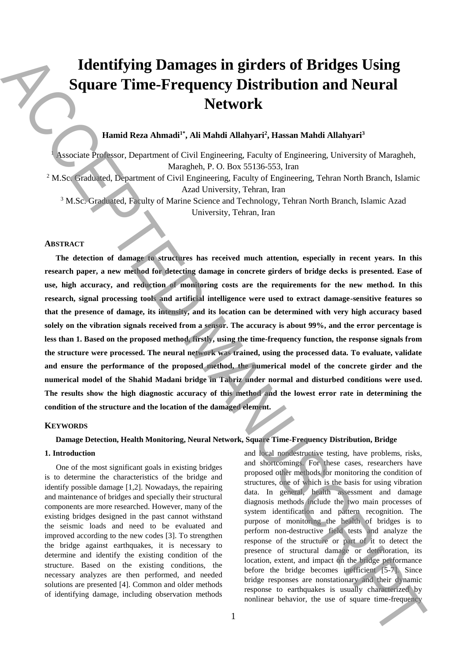# **Identifying Damages in girders of Bridges Using Square Time-Frequency Distribution and Neural Network**

## **Hamid Reza Ahmadi1\* , Ali Mahdi Allahyari<sup>2</sup> , Hassan Mahdi Allahyari<sup>3</sup>**

<sup>1</sup> Associate Professor, Department of Civil Engineering, Faculty of Engineering, University of Maragheh, Maragheh, P. O. Box 55136-553, Iran <sup>2</sup> M.Sc. Graduated, Department of Civil Engineering, Faculty of Engineering, Tehran North Branch, Islamic Azad University, Tehran, Iran

<sup>3</sup> M.Sc. Graduated, Faculty of Marine Science and Technology, Tehran North Branch, Islamic Azad University, Tehran, Iran

## **ABSTRACT**

**The detection of damage to structures has received much attention, especially in recent years. In this research paper, a new method for detecting damage in concrete girders of bridge decks is presented. Ease of use, high accuracy, and reduction of monitoring costs are the requirements for the new method. In this research, signal processing tools and artificial intelligence were used to extract damage-sensitive features so that the presence of damage, its intensity, and its location can be determined with very high accuracy based solely on the vibration signals received from a sensor. The accuracy is about 99%, and the error percentage is less than 1. Based on the proposed method, firstly, using the time-frequency function, the response signals from the structure were processed. The neural network was trained, using the processed data. To evaluate, validate and ensure the performance of the proposed method, the numerical model of the concrete girder and the numerical model of the Shahid Madani bridge in Tabriz under normal and disturbed conditions were used. The results show the high diagnostic accuracy of this method and the lowest error rate in determining the condition of the structure and the location of the damaged element. Identifying Damages in girders of Bridges Using<br>
Square Time-Frequency Distribution and Neural<br>
Metwork<br>
Metwork (Manuscript, 2008)<br>
Method Real (Manuscript, 2008)<br>
Method Real (Manuscript, 2008)<br>
Method Real (Manuscript** 

## **KEYWORDS**

## **Damage Detection, Health Monitoring, Neural Network, Square Time-Frequency Distribution, Bridge**

#### **1. Introduction**

One of the most significant goals in existing bridges is to determine the characteristics of the bridge and identify possible damage [1,2]. Nowadays, the repairing and maintenance of bridges and specially their structural components are more researched. However, many of the existing bridges designed in the past cannot withstand the seismic loads and need to be evaluated and improved according to the new codes [3]. To strengthen the bridge against earthquakes, it is necessary to determine and identify the existing condition of the structure. Based on the existing conditions, the necessary analyzes are then performed, and needed solutions are presented [4]. Common and older methods of identifying damage, including observation methods and local nondestructive testing, have problems, risks, and shortcomings. For these cases, researchers have proposed other methods for monitoring the condition of structures, one of which is the basis for using vibration data. In general, health assessment and damage diagnosis methods include the two main processes of system identification and pattern recognition. The purpose of monitoring the health of bridges is to perform non-destructive field tests and analyze the response of the structure or part of it to detect the presence of structural damage or deterioration, its location, extent, and impact on the bridge performance before the bridge becomes inefficient [5-7]. Since bridge responses are nonstationary and their dynamic response to earthquakes is usually characterized by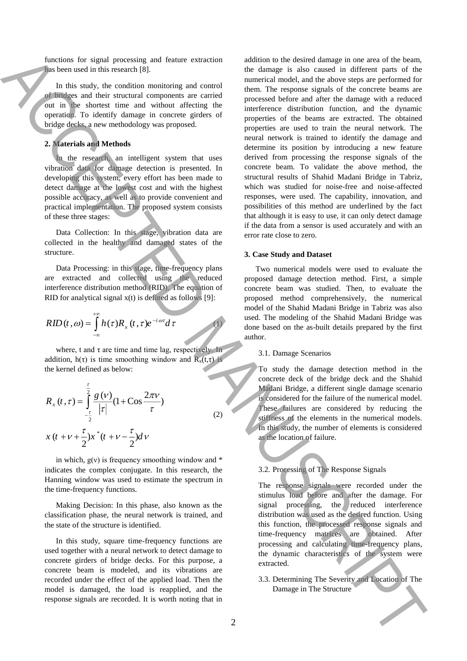functions for signal processing and feature extraction has been used in this research [8].

In this study, the condition monitoring and control of bridges and their structural components are carried out in the shortest time and without affecting the operation. To identify damage in concrete girders of bridge decks, a new methodology was proposed.

## **2. Materials and Methods**

In the research, an intelligent system that uses vibration data for damage detection is presented. In developing this system, every effort has been made to detect damage at the lowest cost and with the highest possible accuracy, as well as to provide convenient and practical implementation. The proposed system consists of these three stages:

Data Collection: In this stage, vibration data are collected in the healthy and damaged states of the structure.

Data Processing: in this stage, time-frequency plans are extracted and collected using the reduced interference distribution method (RID). The equation of RID for analytical signal  $x(t)$  is defined as follows [9]:

$$
RID(t, \omega) = \int_{-\infty}^{+\infty} h(\tau) R_x(t, \tau) e^{-i \omega \tau} d\tau
$$

where, t and  $\tau$  are time and time lag, respectively. In addition,  $h(\tau)$  is time smoothing window and  $R_x(t,\tau)$  is the kernel defined as below:

$$
R_x(t,\tau) = \int_{-\frac{\tau}{2}}^{\frac{\tau}{2}} \frac{g(v)}{|\tau|} (1 + \cos \frac{2\pi v}{\tau})
$$
  

$$
x(t + v + \frac{\tau}{2})x^*(t + v - \frac{\tau}{2})dv
$$
 (2)

in which,  $g(v)$  is frequency smoothing window and  $*$ indicates the complex conjugate. In this research, the Hanning window was used to estimate the spectrum in the time-frequency functions.

Making Decision: In this phase, also known as the classification phase, the neural network is trained, and the state of the structure is identified.

In this study, square time-frequency functions are used together with a neural network to detect damage to concrete girders of bridge decks. For this purpose, a concrete beam is modeled, and its vibrations are recorded under the effect of the applied load. Then the model is damaged, the load is reapplied, and the response signals are recorded. It is worth noting that in

addition to the desired damage in one area of the beam, the damage is also caused in different parts of the numerical model, and the above steps are performed for them. The response signals of the concrete beams are processed before and after the damage with a reduced interference distribution function, and the dynamic properties of the beams are extracted. The obtained properties are used to train the neural network. The neural network is trained to identify the damage and determine its position by introducing a new feature derived from processing the response signals of the concrete beam. To validate the above method, the structural results of Shahid Madani Bridge in Tabriz, which was studied for noise-free and noise-affected responses, were used. The capability, innovation, and possibilities of this method are underlined by the fact that although it is easy to use, it can only detect damage if the data from a sensor is used accurately and with an error rate close to zero. From the transformation of climatic control in the finite of the final control in the structure action of the structure action of the structure action of the structure action of the structure action of the structure actio

## **3. Case Study and Dataset**

Two numerical models were used to evaluate the proposed damage detection method. First, a simple concrete beam was studied. Then, to evaluate the proposed method comprehensively, the numerical model of the Shahid Madani Bridge in Tabriz was also used. The modeling of the Shahid Madani Bridge was done based on the as-built details prepared by the first author.

3.1. Damage Scenarios

To study the damage detection method in the concrete deck of the bridge deck and the Shahid Madani Bridge, a different single damage scenario is considered for the failure of the numerical model. These failures are considered by reducing the stiffness of the elements in the numerical models. In this study, the number of elements is considered as the location of failure.

## 3.2. Processing of The Response Signals

The response signals were recorded under the stimulus load before and after the damage. For signal processing, the reduced interference distribution was used as the desired function. Using this function, the processed response signals and time-frequency matrices are obtained. After processing and calculating time-frequency plans, the dynamic characteristics of the system were extracted.

3.3. Determining The Severity and Location of The

(1)